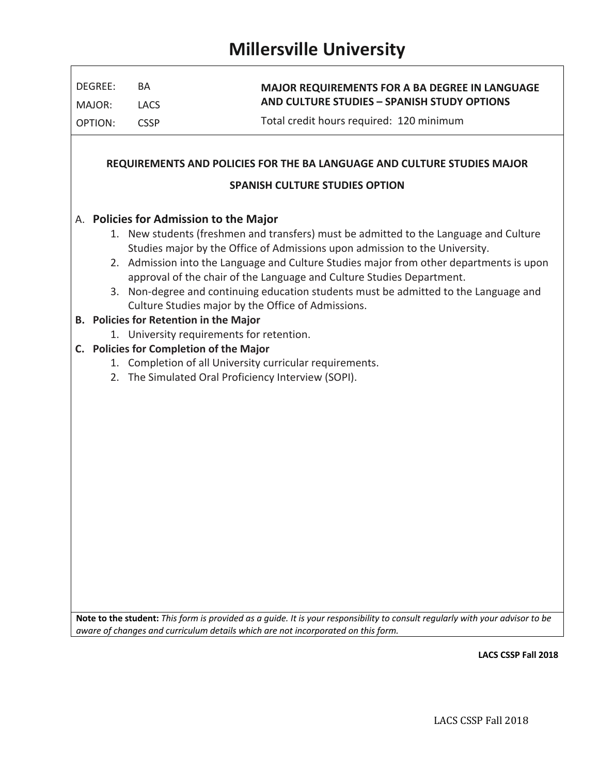$\Gamma$ 

| DEGREE:                                                                 | BA                                      | <b>MAJOR REQUIREMENTS FOR A BA DEGREE IN LANGUAGE</b>                                                                                                            |  |  |  |  |  |  |  |
|-------------------------------------------------------------------------|-----------------------------------------|------------------------------------------------------------------------------------------------------------------------------------------------------------------|--|--|--|--|--|--|--|
| MAJOR:                                                                  | <b>LACS</b>                             | <b>AND CULTURE STUDIES - SPANISH STUDY OPTIONS</b>                                                                                                               |  |  |  |  |  |  |  |
| <b>OPTION:</b>                                                          | <b>CSSP</b>                             | Total credit hours required: 120 minimum                                                                                                                         |  |  |  |  |  |  |  |
|                                                                         |                                         |                                                                                                                                                                  |  |  |  |  |  |  |  |
| REQUIREMENTS AND POLICIES FOR THE BA LANGUAGE AND CULTURE STUDIES MAJOR |                                         |                                                                                                                                                                  |  |  |  |  |  |  |  |
|                                                                         |                                         | <b>SPANISH CULTURE STUDIES OPTION</b>                                                                                                                            |  |  |  |  |  |  |  |
|                                                                         | A. Policies for Admission to the Major  |                                                                                                                                                                  |  |  |  |  |  |  |  |
|                                                                         |                                         | 1. New students (freshmen and transfers) must be admitted to the Language and Culture                                                                            |  |  |  |  |  |  |  |
|                                                                         |                                         | Studies major by the Office of Admissions upon admission to the University.                                                                                      |  |  |  |  |  |  |  |
|                                                                         |                                         | 2. Admission into the Language and Culture Studies major from other departments is upon<br>approval of the chair of the Language and Culture Studies Department. |  |  |  |  |  |  |  |
|                                                                         |                                         | 3. Non-degree and continuing education students must be admitted to the Language and                                                                             |  |  |  |  |  |  |  |
|                                                                         |                                         | Culture Studies major by the Office of Admissions.                                                                                                               |  |  |  |  |  |  |  |
|                                                                         | B. Policies for Retention in the Major  |                                                                                                                                                                  |  |  |  |  |  |  |  |
|                                                                         |                                         | 1. University requirements for retention.                                                                                                                        |  |  |  |  |  |  |  |
|                                                                         | C. Policies for Completion of the Major | 1. Completion of all University curricular requirements.                                                                                                         |  |  |  |  |  |  |  |
|                                                                         |                                         | 2. The Simulated Oral Proficiency Interview (SOPI).                                                                                                              |  |  |  |  |  |  |  |
|                                                                         |                                         |                                                                                                                                                                  |  |  |  |  |  |  |  |
|                                                                         |                                         |                                                                                                                                                                  |  |  |  |  |  |  |  |
|                                                                         |                                         |                                                                                                                                                                  |  |  |  |  |  |  |  |
|                                                                         |                                         |                                                                                                                                                                  |  |  |  |  |  |  |  |
|                                                                         |                                         |                                                                                                                                                                  |  |  |  |  |  |  |  |
|                                                                         |                                         |                                                                                                                                                                  |  |  |  |  |  |  |  |
|                                                                         |                                         |                                                                                                                                                                  |  |  |  |  |  |  |  |
|                                                                         |                                         |                                                                                                                                                                  |  |  |  |  |  |  |  |
|                                                                         |                                         |                                                                                                                                                                  |  |  |  |  |  |  |  |
|                                                                         |                                         |                                                                                                                                                                  |  |  |  |  |  |  |  |
|                                                                         |                                         |                                                                                                                                                                  |  |  |  |  |  |  |  |
|                                                                         |                                         |                                                                                                                                                                  |  |  |  |  |  |  |  |
|                                                                         |                                         |                                                                                                                                                                  |  |  |  |  |  |  |  |
|                                                                         |                                         |                                                                                                                                                                  |  |  |  |  |  |  |  |

**LACS CSSP Fall 2018**

٦